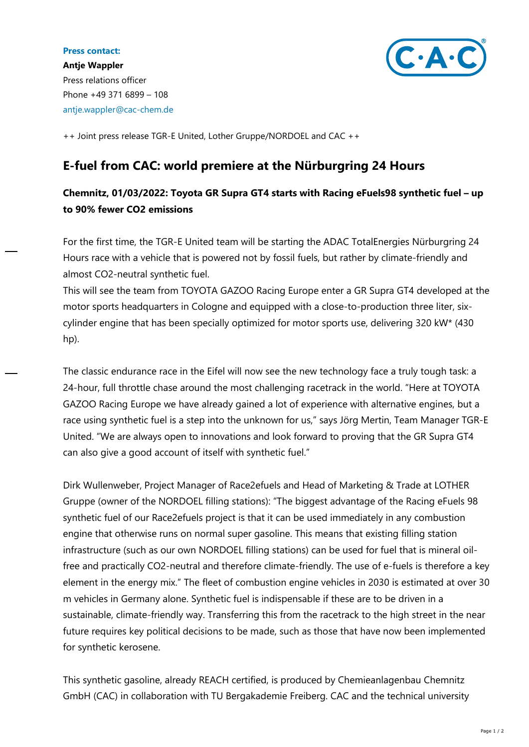## **Press contact:**



**Antje Wappler** Press relations officer Phone +49 371 6899 – 108 antje.wappler@cac-chem.de

++ Joint press release TGR-E United, Lother Gruppe/NORDOEL and CAC ++

## **E-fuel from CAC: world premiere at the Nürburgring 24 Hours**

## **Chemnitz, 01/03/2022: Toyota GR Supra GT4 starts with Racing eFuels98 synthetic fuel – up to 90% fewer CO2 emissions**

For the first time, the TGR-E United team will be starting the ADAC TotalEnergies Nürburgring 24 Hours race with a vehicle that is powered not by fossil fuels, but rather by climate-friendly and almost CO2-neutral synthetic fuel.

This will see the team from TOYOTA GAZOO Racing Europe enter a GR Supra GT4 developed at the motor sports headquarters in Cologne and equipped with a close-to-production three liter, sixcylinder engine that has been specially optimized for motor sports use, delivering 320 kW\* (430 hp).

The classic endurance race in the Eifel will now see the new technology face a truly tough task: a 24-hour, full throttle chase around the most challenging racetrack in the world. "Here at TOYOTA GAZOO Racing Europe we have already gained a lot of experience with alternative engines, but a race using synthetic fuel is a step into the unknown for us," says Jörg Mertin, Team Manager TGR-E United. "We are always open to innovations and look forward to proving that the GR Supra GT4 can also give a good account of itself with synthetic fuel."

Dirk Wullenweber, Project Manager of Race2efuels and Head of Marketing & Trade at LOTHER Gruppe (owner of the NORDOEL filling stations): "The biggest advantage of the Racing eFuels 98 synthetic fuel of our Race2efuels project is that it can be used immediately in any combustion engine that otherwise runs on normal super gasoline. This means that existing filling station infrastructure (such as our own NORDOEL filling stations) can be used for fuel that is mineral oilfree and practically CO2-neutral and therefore climate-friendly. The use of e-fuels is therefore a key element in the energy mix." The fleet of combustion engine vehicles in 2030 is estimated at over 30 m vehicles in Germany alone. Synthetic fuel is indispensable if these are to be driven in a sustainable, climate-friendly way. Transferring this from the racetrack to the high street in the near future requires key political decisions to be made, such as those that have now been implemented for synthetic kerosene.

This synthetic gasoline, already REACH certified, is produced by Chemieanlagenbau Chemnitz GmbH (CAC) in collaboration with TU Bergakademie Freiberg. CAC and the technical university